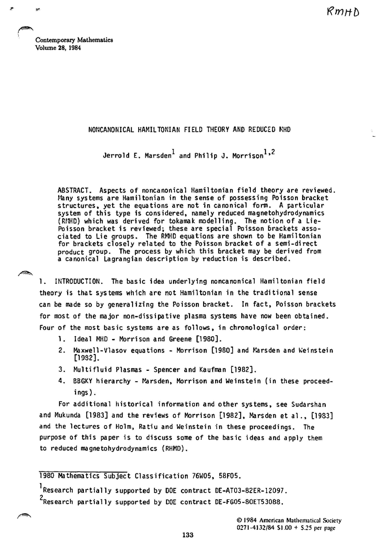KmHN

Contemporary Mathematics Volume 28, 1984

**←** 

\

**Kalèn** 

## NONCANONICAL HAMIL TONIAN FIELD THEORY AND REDUCED NHD

Jerrold E. Marsden $^1$  and Philip J. Morrison $^1$ ,<sup>2</sup>

ABSTRACT. Aspects of noncanonical Hamiltonian field theory are reviewed. Many systems are Hamiltonian in the sense of possessing Poisson bracket structures, yet the equations are not in canonical form. A particular system of this type is considered, namely reduced magnetohydrodynamics (RllHD) which was derived for tokamak modelling. The notion of a lie-Poisson bracket is reviewed; these are special Poisson brackets associated to Lie groups. The RI4iD equations are shown to be Hamiltonian for brackets closely related to the Poisson bracket of a semi-direct product group. The process by which this bracket may be derived from a canonical Lagrangian description by reduction is described.

1. INTRODUCTION. The basic idea underlying noncanonical Hamiltonian field theory is that systems which are not Hamiltonian in the traditional sense can be made so by general izing the Poisson bracket. In fact, Poisson brackets for most of the major non-dissipative plasma systems have now been obtained. Four of the most basic systems are as follows, in chronological order:

- 1. Ideal MHD Morrison and Greene [1980].
- 2. Maxwell-Vlasov equations Morrison [1980] and Marsden and Weinstein [1932].
- 3. Multifluid Plasmas Spencer and Kaufman [1982].
- 4. BBGKY hierarchy Marsden, Morrison and Weinstein (in these proceedings).

For additional historical information and other systems, see Sudarshan and Mukunda [1983] and the reviews of Morrison [1982], Marsden et al., [1983] and the lectures of Holm, Ratiu and Weinstein in these proceedings. The purpose of this paper is to discuss some of the basic ideas and apply them to reduced magnetohydrodynamics (RHMD).

1980 Mathematics Subject Classification 76WOS, S8FOS.

lResearch partially supported by DOE contract DE-AT03-82ER-12097. 2Research partially supported by DOE contract DE-FGOS-BOETS3088.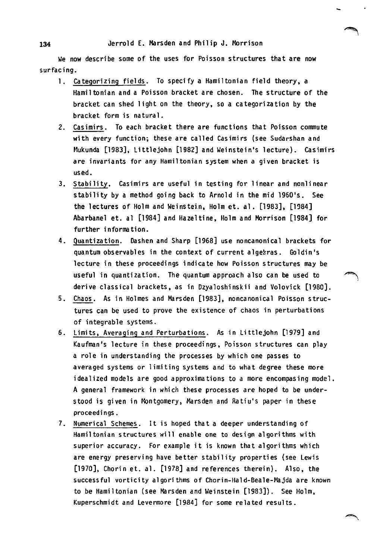We now describe some of the uses for Poisson structures that are now surfacing.

- 1. Categorizing fields. To specify a Hamiltonian field theory. a Hamil tonian and a Poisson bracket are chosen. The structure of the bracket can shed 1 ight on the theory. so a categorization by the bracket form is natural.
- 2. Casimirs. To each bracket there are functions that Poisson commute with every function; these are called Casimirs (see Sudarshan and Mukunda [1983], Littlejohn [1982] and Weinstein's lecture). Casimirs are invariants for any Hamiltonian system when a given bracket is used.
- 3. Stability. Casimirs are useful in testing for linear and nonlinear stability by a method going back to Arnold in the mid 1960's. See the lectures of Holm and Weinstein, Holm et. al. [1983], [1984] Abarbanel et. al [1984] and Hazeltine. Holm and Morrison [1984] for further information.
- 4. Quantization. Dashen and Sharp [1968] use noncanonical brackets for quantum observables in the context of current algeeras. Goldin's lecture in these proceedings indicate how Poisson structures may be useful in quantization. The quantum approach also can be used to ~ derive classical brackets. as in Dzyaloshinskii and Volovick [1980].
- 5. Chaos. As in Holmes and Marsden [1983]. noncanonical Poisson structures can be used to prove the existence of chaos in perturbations of integrable systems.
- 6. Limits. Averaging and Perturbations. As in Littlejohn [1979] and Kaufman's lecture in these proceedings, Poisson structures can play a role in understanding the processes by which one passes to averaged systems or limiting systems and to what degree these more idealized models are good approximations to a more encompasing model. A general framework in which these processes are hoped to be understood is given in Montgomery, Marsden and Ratiu's paper in these proceedings.
- 7. Numerical Schemes. It is hoped that a deeper understanding of Hamiltonian structures will enable one to design algorithms with superior accuracy. For example it is known that algorithms which are energy preserving have better stability properties (see Lewis [1970], Chorin et. a1. [1978] and references therein). Also, the successful vortici ty al gori thms of Chorin-Hal d-Bea1e-Majda are known to be Hami ltonian (see Marsden and Weinstein [1983]). See Holm, Kuperschmidt and Levermore [1984] for some related results.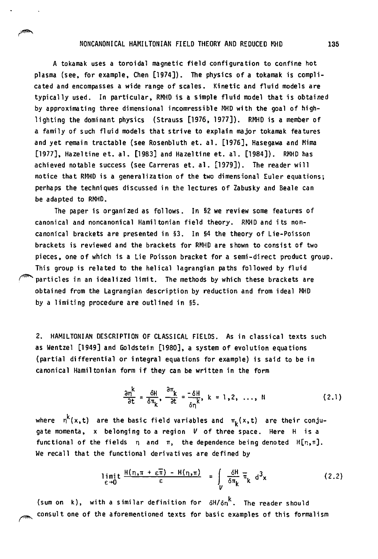## NONCANONICAL HAMILTONIAN FIELD THEORY AND REDUCED MHD 135

A tokamak uses a toroidal magnetic field configuration to confine hot plasma (see, for example, Chen [1974]). The physics of a tokamak is complicated and encompasses a wide range of scales. Kinetic and fluid models are typically used. In particular, RMHO is a simple fluid model that is obtained by approximating three dimensional incomressible MHD with the goal of highlighting the dominant physics (Strauss [1976,1977]). RMHD is a member of a family of such f1 uid models that strive to explain major tokamak features and yet remain tractable (see Rosenbluth et. a1. [1976], Hasegawa and Mirna [1977], Hazeltine et. a1. [1983] and Hazeltine et. a1. [1984]). RMHD has achieved notable success (see Carreras et. al. [1979]). The reader will notice that RMHD is a generalization of the two dimensional Euler equations; perhaps the techni ques discussed in the lectures of Zabusky and Beale can be adapted to RMHD.

The paper is organized as follows. In §2 we review some features of canonical and noncanonical Hamiltonian field theory. RMHD and its noncanonical brackets are presented in §3. In §4 the theory of Lie-Poisson brackets is reviewed and the brackets for RMHD are shown to consist of two pieces, one of which is a Lie Poisson bracket for a semi-direct product group. This group is related to the helical lagrangian paths followed by fluid particles in an idealized limit. The methods by which these brackets are obtained from the Lagrangian description by reduction and from ideal MHD by a limiting procedure are outlined in §5.

2. HAMILTONIAN DESCRIPTION OF CLASSICAL FIELDS. As in classical texts such as Wentzel [1949] and Goldstein [1980]. a system of evolution equations (partial differential or integral equations for example) is said to be in canonical Hamil tonian form if they can be written in the form

$$
\frac{\partial n^k}{\partial t} = \frac{\delta H}{\delta \pi_k}, \quad \frac{\partial \pi_k}{\partial t} = \frac{-\delta H}{\delta n^k}, \quad k = 1, 2, \ldots, N
$$
 (2.1)

where  $n^{k}(x,t)$  are the basic field variables and  $\pi_{k}(x,t)$  are their conjugate momenta, x belonging to a region V of three space. Here H is a functional of the fields  $n$  and  $\pi$ , the dependence being denoted  $H[n,\pi]$ . We recall that the functional derivatives are defined by

$$
\lim_{\varepsilon \to 0} t \frac{H(n, \pi + \varepsilon \overline{\pi}) - H(n, \pi)}{\varepsilon} = \int_{V} \frac{\delta H}{\delta \pi_k} \overline{\pi}_k d^3x \qquad (2.2)
$$

(sum on k), with a similar definition for  $\delta H/\delta n^{k}$ . The reader should consult one of the aforementioned texts for basic examples of this formalism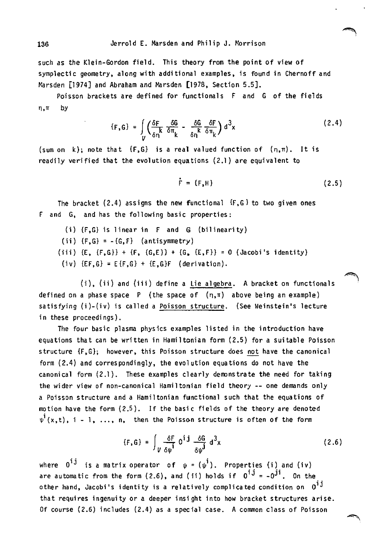such as the Klein-Gordon field. This theory from the point of view of symplectic geometry, along with additional examples, is found in Chernoff and Marsden (1974) and Abraham and Marsden [1978, Section 5.5).

Poisson brackets are defined for functionals F and G of the fields n, m by

$$
\{F, G\} = \int_{U} \left( \frac{\delta F}{\delta n} \, \frac{\delta G}{\delta \pi} \, - \, \frac{\delta G}{\delta n} \, \frac{\delta F}{\delta \pi} \right) d^3 x \tag{2.4}
$$

(sum on  $k$ ); note that {F,G} is a real valued function of  $(n,\pi)$ . It is readily verified that the evolution equations (2.1) are equivalent to

$$
\dot{\mathsf{F}} = \{ \mathsf{F}, \mathsf{H} \} \tag{2.5}
$$

The bracket  $(2.4)$  assigns the new functional  $\{F, G\}$  to two given ones F and G, and has the following basic properties:

- (i) {F,G} is linear in F and G (bilinearity)
- (ii)  $\{F,G\} = -\{G,F\}$  (antisymmetry)
- (iii)  $(E, {F, G} + {F, (G, E)} + {G, (E, F)} = 0$  (Jacobi's identity)
- (iv)  ${E}F,G = E{F,G} + {E,G}F$  (derivation).

 $(i)$ ,  $(ii)$  and  $(iii)$  define a Lie algebra. A bracket on functionals defined on a phase space P (the space of  $(n,\pi)$  above being an example) satisfying (i)-(iv) is called a Poisson structure. (See Weinstein's lecture in these proceedings).

The four basic plasma physics examples listed in the introduction have equations that can be written in Hamiltonian form (2.5) for a suitable Poisson structure {F,G}; however, this Poisson structure does not have the canonical form (2.4) and correspondingly, the evolution equations do not have the canonical form (2.1). These examples clearly demonstrate the need for taking the wider view of non-canonical Hamiltonian field theory -- one demands only a Poisson structure and a Hamiltonian functional such that the equations of motion have the form  $(2.5)$ . If the basic fields of the theory are denoted  $\Psi^1(x,t)$ , i - 1, ..., n, then the Poisson structure is often of the form

$$
\{F,G\} = \int_{V} \frac{\delta F}{\delta \psi^{\mathbf{i}}} 0^{\mathbf{i} \mathbf{j}} \frac{\delta G}{\delta \psi^{\mathbf{j}}} d^3 x \tag{2.6}
$$

where  $0^{i,j}$  is a matrix operator of  $\psi = (\psi^i)$ . Properties (i) and (iv) are automatic from the form (2.6), and (ii) holds if  $0^{i,j} = -0^{ji}$ . On the other hand, Jacobi's identity is a relatively complicated condition on  $0^{1,\overline{\textbf{\textit{j}}}}$ that requires ingenuity or a deeper insight into how bracket structures arise. Of course (2.6) includes (2.4) as a special case. A common class of Poisson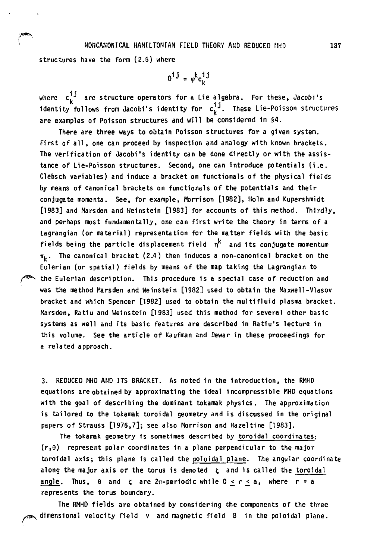### NONCANONICAL HAMILTONIAN FIELD THEORY AND REDUCED MHD

structures have the form (2.6) where

$$
0^{\mathbf{i}\,\mathbf{j}} = \psi^{\mathbf{k}} \mathbf{c}_{\mathbf{k}}^{\mathbf{i}\,\mathbf{j}}
$$

where  $c^{+j}_\nu$  are structure operators for a Lie algebra. For these, Jacobi's identity follows from Jacobi's identity for  $c_{\nu}^{+J}$ . These Lie-Poisson structures are examples of Poisson structures and will be considered in §4.

There are three ways to obtain Poisson structures for a given system. First of all. one can proceed by inspection and analogy with known brackets. The verification of Jacobi's identity can be done directly or with the assistance of Lie-Poisson structures. Second. one can introduce potentials (i .e. Clebsch variables) and induce a bracket on functionals of the physical fields by means of canonical brackets on functionals of the potentials and their conjugate momenta. See. for example. Morrison [1982]. Holm and Kupershmidt [1983] and Marsden and Weinstein [1983J for accounts of this method. Thirdly. and perhaps most fundamentally. one can first write the theory in terms of a Lagrangian (or material) representation for the matter fields with the basic fields being the particle displacement field  $n^k$  and its conjugate momentum  $\pi_{\nu}$ . The canonical bracket (2.4) then induces a non-canonical bracket on the Eulerian (or spatial) fields by means of the map taking the Lagrangian to the Eulerian description. This procedure is a special case of reduction and was the method Marsden and Weinstein [1982] used to obtain the Maxwell-Vlasov bracket and which Spencer [1982] used to obtain the multifluid plasma bracket. Marsden, Ratiu and Weinstein [1983] used this method for several other basic systems as well and its basic features are described in Ratiu's lecture in this volume. See the article of Kaufman and Dewar in these proceedings for a related approach.

3. REDUCED MHO AND ITS BRACKET. As noted in the introduction. the RHHD equations are obtained by approximating the ideal incompressible MHO equations with the goal of describing the dominant tokamak physics. The approximation is tailored to the tokamak toroidal geometry and is discussed in the original papers of Strauss [1976,7]; see also Morrison and Hazeltine [1983].

The tokamak geometry is sometimes described by toroidal coordinates;  $(r, \theta)$  represent polar coordinates in a plane perpendicular to the major toroidal axis; this plane is called the peloidal plane. The angular coordinate along the major axis of the torus is denoted *l;* and is called the toroidal angle. Thus,  $\theta$  and  $\zeta$  are 2 $\pi$ -periodic while 0 < r < a, where r = a represents the torus boundary.

The RMHD fields are obtained by considering the components of the three dimensional velocity field v and magnetic field B in the poloidal plane.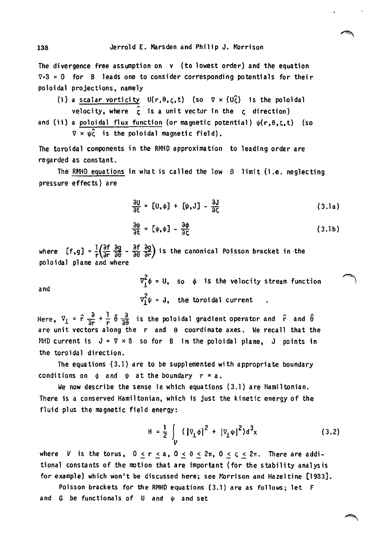The divergence free assumption on v (to lowest order) and the equation  $\nabla \cdot 3 = 0$  for B leads one to consider corresponding potentials for their po10idal projections. namely

(i) a scalar vorticity 
$$
U(r, \theta, \zeta, t)
$$
 (so  $\nabla \times (U\hat{\zeta})$  is the poloidal  
velocity, where  $\hat{\zeta}$  is a unit vector in the  $\zeta$  direction)  
and (ii) a poloidal flux function (or magnetic potential)  $\psi(r, \theta, \zeta, t)$  (so  
 $\nabla \times \psi\hat{\zeta}$  is the poloidal magnetic field).

The toroidal components in the RMHO approximation to leading order are regarded as constant.

The RNHO equations in what is called the low *B* limit (i *.e.* neglecting pressure effects) are

$$
\frac{\partial U}{\partial t} = [U, \phi] + [\psi, J] - \frac{\partial J}{\partial \zeta}
$$
 (3.1a)

$$
\frac{\partial \psi}{\partial t} = [\psi, \phi] - \frac{\partial \phi}{\partial \zeta}
$$
 (3.1b)

where  $[f,g] = \frac{1}{r} \left( \frac{\partial f}{\partial r} \frac{\partial g}{\partial \theta} - \frac{\partial f}{\partial \theta} \frac{\partial g}{\partial r} \right)$  is the canonical Poisson bracket in the poloidal plane and where

and

$$
\nabla_{\perp}^{2} \phi = 0, \quad \text{so} \quad \phi \quad \text{is the velocity stream function}
$$
\n
$$
\nabla_{\perp}^{2} \psi = J, \quad \text{the toroidal current} \quad .
$$

Here,  $\nabla_{\perp} = \hat{r} \frac{\partial}{\partial r} + \frac{1}{r} \hat{\theta} \frac{\partial}{\partial \theta}$  is the poloidal gradient operator and  $\hat{r}$  and  $\hat{\theta}$ are unit vectors along the  $r$  and  $\theta$  coordinate axes. We recall that the NHD current is  $J = \nabla \times B$  so for B in the poloidal plane, J points in the toroidal direction.

The equations (3.1) are to be supplemented with appropriate boundary conditions on  $\phi$  and  $\psi$  at the boundary  $r = a$ .

We now describe the sense in which equations  $(3.1)$  are Hamiltonian. There is a conserved Hamiltonian. which is just the kinetic energy of the fluid plus the magnetic field energy:

$$
H = \frac{1}{2} \int_{V} (|\nabla_{\perp} \phi|^2 + |\nabla_{\perp} \psi|^2) d^3x
$$
 (3.2)

where *V* is the torus,  $0 \le r \le a$ ,  $0 \le \theta \le 2\pi$ ,  $0 \le \zeta \le 2\pi$ . There are additional constants of the motion that are important (for the stability analysis for example) which won't be discussed here; see Morrison and Hazeltine [1983].

Poisson brackets for the RMHO equations (3.1) are as follows; let F and G be functionals of U and  $\psi$  and set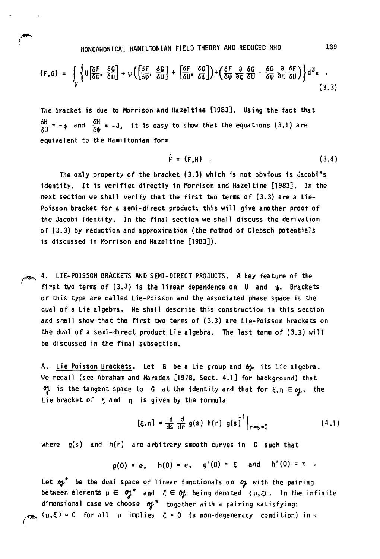NONCANONICAL HAMILTONIAN FIELD THEORY AND REDUCED MHD

 $\sqrt{2}$ 

$$
\{F,G\} = \int\limits_V \left\{ U \left[ \frac{\delta F}{\delta U}, \frac{\delta G}{\delta U} \right] + \psi \left( \left[ \frac{\delta F}{\delta \psi}, \frac{\delta G}{\delta U} \right] + \left[ \frac{\delta F}{\delta U}, \frac{\delta G}{\delta \psi} \right] \right\} + \left( \frac{\delta F}{\delta \psi} \frac{a}{\delta \zeta} \frac{\delta G}{\delta U} - \frac{\delta G}{\delta \psi} \frac{a}{\delta \zeta} \frac{\delta F}{\delta U} \right) \right\} d^3x \quad .
$$

The bracket is due to Morrison and Hazeltine [1983]. Using the fact that  $\frac{\delta H}{\delta U}$  = - $\phi$  and  $\frac{\delta H}{\delta U}$  = -J, it is easy to show that the equations (3.1) are equivalent to the Hamiltonian form

$$
\dot{\mathsf{F}} = \{ \mathsf{F}, \mathsf{H} \} \quad . \tag{3.4}
$$

The only property of the bracket (3.3) which is not obvious is Jacobi's identity. It is verified directly in Morrison and Hazeltine [1983]. In the next section we shall verify that the first two terms of (3.3) are a Lie-Poisson bracket for a semi-direct product; this will give another proof of the Jacobi identity. In the final section we shall discuss the derivation of (3.3) by reduction and approximation (the method of Clebsch potentials is discussed in Morrison and Hazeltine [1983]).

4. LIE-POISSON BRACKETS AND SEMI-DIRECT PRODUCTS. A key feature of the first two terms of (3.3) is the linear dependence on U and  $\psi$ . Brackets of this type are called Lie-Poisson and the associated phase space is the dual of a Lie algebra. We shall describe this construction in this section and shall show that the first two terms of (3.3) are Lie-Poisson brackets on the dual of a semi-direct product Lie algebra. The last term of (3.3) will be discussed in the final subsection.

A. Lie Poisson Brackets. Let G be a Lie group and  $b$  its Lie algebra. We recall (see Abraham and Marsden [1978. Sect. 4.1] for background) that of is the tangent space to G at the identity and that for  $\xi,\eta \in \mathfrak{g}_k$ , the Lie bracket of  $\xi$  and  $\eta$  is given by the formula

$$
[\xi, \eta] = \frac{d}{ds} \frac{d}{dr} g(s) h(r) g(s)^{1} \Big|_{r=s=0}
$$
 (4.1)

where  $g(s)$  and  $h(r)$  are arbitrary smooth curves in  $G$  such that

$$
g(0) = e
$$
,  $h(0) = e$ ,  $g'(0) = \xi$  and  $h'(0) = n$ .

Let  $r^*$  be the dual space of linear functionals on  $r^*$  with the pairing between elements  $\mu \in \mathfrak{H}^*$  and  $\xi \in \mathfrak{H}$  being denoted ( $\mu, \xi$ ). In the infinite dimensional case we choose  $\sigma f^*$  together with a pairing satisfying:  $\langle \mu, \xi \rangle = 0$  for all  $\mu$  implies  $\xi = 0$  (a non-degeneracy condition) in a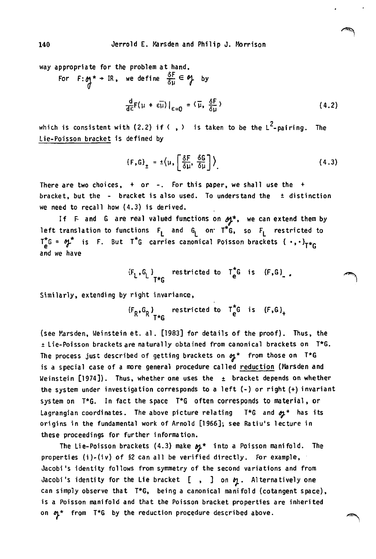way appropriate for the problem at hand.

For  $F:_{\text{f}} \uparrow \uparrow + \text{IR}$ , we define  $\frac{\delta F}{\delta \mu} \in \text{f}$  by  $\frac{d}{dE}F(\mu + \epsilon \overline{\mu})\Big|_{\epsilon=0} = (\overline{\mu}, \frac{\delta F}{\delta \mu})$ (4.2)

which is consistent with (2.2) if  $\langle , \rangle$  is taken to be the L<sup>2</sup>-pairing. The Lie-Poisson bracket is defined by

$$
\{F,G\}_{\pm} = \pm \langle \mu, \left[\frac{\delta F}{\delta \mu}, \frac{\delta G}{\delta \mu}\right] \rangle \tag{4.3}
$$

التعليم<br>ا

There are two choices,  $+$  or  $-$ . For this paper, we shall use the  $+$ bracket, but the - bracket is also used. To understand the ± distinction we need to recall how (4.3) is derived.

If F and G are real valued functions on  $\mathfrak{H}^*$ , we can extend them by left translation to functions  $F_L$  and  $G_L$  on  $T^*G$ , so  $F_L$  restricted to  $T_{\rho}^{*}G = \gamma f^{*}$  is F. But T<sup>\*</sup>G carries canonical Poisson brackets {  $\cdot$  ,  $\cdot$  )<sub>T\*G</sub> and we have

$$
\{F_L, G_L\}_{T^*G} \quad \text{restricted to} \quad T^*_{e}G \quad \text{is} \quad \{F, G\}_{\perp}.
$$

Similarly, extending by right invariance,

 ${F_R, G_R}$  restricted to  $T^{\pi}_e$  is  ${F, G}_+$ <br> $T^{\pi}_e$ 

(see Marsden, Weinstein et. al. [1983] for details of the proof). Thus, the :!: Lie-Poisson brackets are naturally obtained from canonical brackets on T\*6. The process just described of getting brackets on  $\sigma_{J}$ \* from those on T\*G is a special case of a more general procedure called reduction (Marsden and Weinstein  $[1974]$ ). Thus, whether one uses the  $\pm$  bracket depends on whether the system under investigation corresponds to a left (-) or right (+) invariant system on T\*G. In fact the space T\*G often corresponds to material, or Lagrangian coordinates. The above picture relating  $T*G$  and  $\mathfrak{B}^*$  has its origins in the fundamental work of Arnold [1966]; see Ratiu's lecture in these proceedings for further information.

The Lie-Poisson brackets (4.3) make  $p_f$ <sup>\*</sup> into a Poisson manifold. The properties (i)-(iv) of §2 can all be verified directly. For example, Jacobi's identity follows from symmetry of the second variations and from Jacobi's identity for the Lie bracket  $[ , ]$  on  $\eta$ . Alternatively one can simply observe that T\*G, being a canonical manifold (cotangent space). is a Poisson manifold and that the Poisson bracket properties are inherited on  $p^*$  from T\*G by the reduction procedure described above.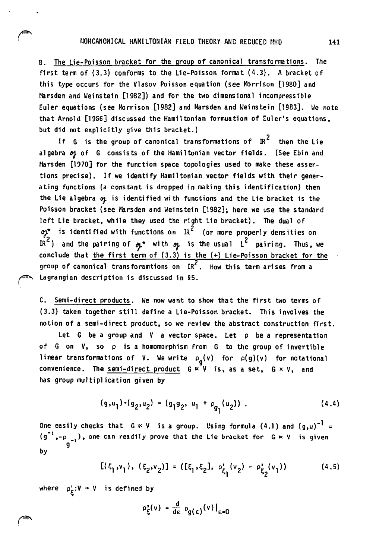B. The Lie-Poisson bracket for the group of canonical transformations. The first term of (3.3) conforms to the Lie-Poisson format (4.3). A bracket of this type occurs for the Vlasov Poisson equation (see Morrison [1980] and Marsden and Weinstein [1982]) and for the two dimensional incompressible Euler equations (see Morrison [1982] and Marsden and Weinstein [1983]. We note that Arnold [1956] discussed the Hamiltonian formuation of Euler's equations. but did not explicitly give this bracket.)

If G is the group of canonical transformations of  $\overline{\mathbb{R}}^2$  then the Lie algebra of G consists of the Hamiltonian vector fields. (See Ebin and Marsden [1970] for the function space topologies used to make these assertions precise). If we identify Hamiltonian vector fields with their generating functions (a constant is dropped in making this identification) then the Lie algebra op is identified with functions and the Lie bracket is the Poisson bracket (see Marsden and Weinstein [1982]; here we use the standard left Lie bracket. while they used the right Lie bracket). The dual of  $\phi$ \* is identified with functions on IR<sup>2</sup> (or more properly densities on IR<sup>2</sup>) and the pairing of  $\phi$ <sup>\*</sup> with  $\phi$  is the usual L<sup>2</sup> pairing. Thus, we conclude that the first term of  $(3.3)$  is the  $(+)$  Lie-Poisson bracket for the group of canonical transforamtions on  $IR^2$ . How this term arises from a Lagrangian description is discussed in §5.

C. Semi-direct products. We now want to show that the first two terms of (3.3) taken together still define a Lie-Poisson bracket. This involves the notion of a semi-direct product. so we review the abstract construction first.

Let G be a group and V a vector space. Let *p* be a representation of G on V. so p is a homomorphism from G to the group of invertible linear transformations of V. We write  $\rho_{\bf g}({\bf v})$  for  $\rho({\bf g})({\bf v})$  for notational convenience. The semi-direct product  $G \times V$  is, as a set,  $G \times V$ , and has group multiplication given by

$$
(g,u_1) \cdot (g_2, u_2) = (g_1 g_2, u_1 + \rho_{g_1}(u_2)) . \qquad (4.4)
$$

One easily checks that  $G \ltimes V$  is a group. Using formula (4.1) and  $(g,u)^{-1}$  =  $(g^{-1}, -\rho_{-1})$ , one can readily prove that the Lie bracket for  $G \ltimes V$  is given  $g$ by

$$
[(\xi_1, v_1), (\xi_2, v_2)] = ([\xi_1, \xi_2], \rho'_{\xi_1}(v_2) - \rho'_{\xi_2}(v_1))
$$
 (4.5)

where  $\rho_E^*: V \rightarrow V$  is defined by

$$
\rho_{\xi}^{\prime}(v) = \frac{d}{d\varepsilon} \rho_{g(\varepsilon)}(v)|_{\varepsilon=0}
$$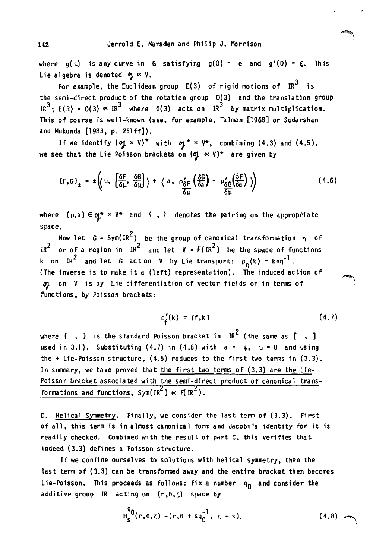where  $g(\epsilon)$  is any curve in G satisfying  $g(0) = e$  and  $g'(0) = \xi$ . This Lie algebra is denoted  $\phi_j \propto V$ .

For example, the Euclidean group  $E(3)$  of rigid motions of  $IR^3$  is the semi-direct product of the rotation group O(3} and the translation group IR<sup>3</sup>; E(3) = O(3)  $\times$  IR<sup>3</sup> where O(3) acts on IR<sup>3</sup> by matrix multiplication. This of course is well-known (see, for example, Talman [1968] or Sudarshan and Mukunda [1983, p. 251ff]).

If we identify  $({\bf q} \times V)^*$  with  ${\bf q}^* \times V^*$ , combining (4.3) and (4.5), we see that the Lie Poisson brackets on  $(\sigma \sim v)^*$  are given by

$$
\{F,G\}_{\pm} = \pm \left( \mu, \left[ \frac{\delta F}{\delta \mu}, \frac{\delta G}{\delta \mu} \right] \right) + \left\langle a, \rho'_{\frac{\delta F}{\delta \mu}} \left( \frac{\delta G}{\delta a} \right) - \rho'_{\frac{\delta G}{\delta \mu}} \left( \frac{\delta F}{\delta a} \right) \right) \right)
$$
(4.6)

where  $(\mu, a) \in q^* \times V^*$  and  $\langle , \rangle$  denotes the pairing on the appropriate space.

Now let  $G = Sym(IR^2)$  be the group of canonical transformation  $n = 0$ IR<sup>2</sup> or of a region in IR<sup>2</sup> and let V =  $F(\,$ IR<sup>2</sup>) be the space of functions k on IR<sup>2</sup> and let G acton V by Lie transport:  $\rho_{n}(k) = k \circ n^{-1}$ . (The inverse is to make it a (left) representation). The induced action of OJ- on V is by Lie differentiation of vector fields or in terms of functions, by Poisson brackets:

> $\rho'_e(k) = \{f, k\}$ (4.7)

where  $\{ , \}$  is the standard Poisson bracket in IR<sup>2</sup> (the same as  $[ , ]$ used in 3.1). Substituting (4.7) in (4.6) with  $a = \psi$ ,  $\mu = U$  and using the + lie-Poisson structure, (4.6) reduces to the first two terms in (3.3). In summary, we have proved that the first two terms of (3.3) are the Lie-Poisson bracket associated with the semi-direct product of canonical transformations and functions,  $Sym(IR^2) \propto F(IR^2)$ .

D. Helical Symmetry. Finally, we consider the last term of (3.3). First of all, this term is in almost canonical form and Jacobi's identity for it is readily checked. Combined with the result of part C, this verifies that indeed (3.3) defines a Poisson structure.

If we confine ourselves to solutions with helical symmetry, then the last term of (3.3) can be transformed away and the entire bracket then becomes Lie-Poisson. This proceeds as follows: fix a number  $q_0$  and consider the additive group IR acting on  $(r,\theta,\zeta)$  space by

$$
H_S^{q_0}(r, \theta, \zeta) = (r, \theta + sq_0^{-1}, \zeta + s).
$$
 (4.8)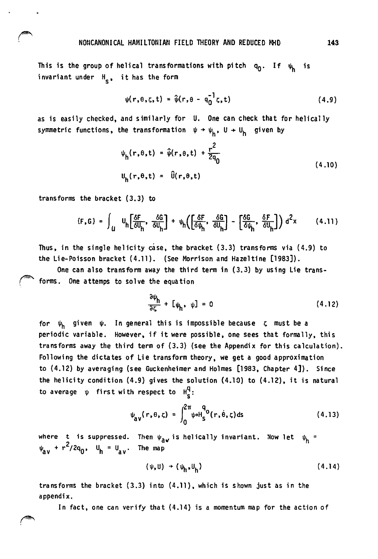This is the group of helical transformations with pitch  $q_0$ . If  $\psi_k$  is invariant under  $H_s$ , it has the form

$$
\psi(r,\theta,\zeta,t) = \hat{\psi}(r,\theta - q_0^{-1}\zeta,t)
$$
 (4.9)

as is easily checked. and similarly for U. One can check that for helically symmetric functions, the transformation  $\psi \rightarrow \psi_h$ , U  $\rightarrow U_h$  given by

$$
\psi_h(r,\theta,t) = \hat{\psi}(r,\theta,t) + \frac{r^2}{2q_0}
$$
  
\n
$$
U_h(r,\theta,t) = \hat{U}(r,\theta,t)
$$
\n(4.10)

transforms the bracket (3.3) to

$$
\{F, G\} = \int_{U} u_h \left[ \frac{\delta F}{\delta U_h}, \frac{\delta G}{\delta U_h} \right] + \psi_h \left( \left[ \frac{\delta F}{\delta \psi_h}, \frac{\delta G}{\delta U_h} \right] - \left[ \frac{\delta G}{\delta \psi_h}, \frac{\delta F}{\delta U_h} \right] \right) d^2 x \qquad (4.11)
$$

Thus, in the single helicity case. the bracket (3.3) transforms via (4.9) to the Lie-Poisson bracket (4.11). (See Morrison and Hazeltine [1983J).

One can also transform away the third term in (3.3) by using Lie trans forms. One attemps to solve the equation

$$
\frac{\partial \psi_h}{\partial \zeta} + [\psi_h, \psi] = 0 \tag{4.12}
$$

for  $\psi_h$  given  $\psi$ . In general this is impossible because  $\zeta$  must be a periodic variable. However, if it were possible, one sees that formally, this transforms away the third term of (3.3) (see the Appendix for this calculation). Following the dictates of Lie transform theory. we get a good approximation to (4.12) by averaging (see Guckenheimer and Holmes [1983. Chapter 4]). Since the helicity condition (4.9) gives the solution (4.10) to (4.12). it is natural to average  $\psi$  first with respect to  $H_c^q$ :

$$
\psi_{\mathbf{a}\mathbf{v}}(\mathbf{r},\theta,\zeta) = \int_0^{2\pi} \psi \circ H_{\mathbf{S}}^{q_0}(\mathbf{r},\dot{\theta},\zeta) d\zeta
$$
 (4.13)

where t is suppressed. Then  $\psi_{\mathbf{a}}$  is helically invariant. Now let  $\psi_{\mathbf{h}} =$  $\Psi_{\rm av}$  +  $r^2$ /2q<sub>0</sub>, U<sub>h</sub> = U<sub>av</sub>. The map

$$
(\psi, U) \rightarrow (\psi_h, U_h) \tag{4.14}
$$

transforms the bracket  $(3.3)$  into  $(4.11)$ , which is shown just as in the appendix .

In fact. one can verify that (4.14) is a momentum map for the action of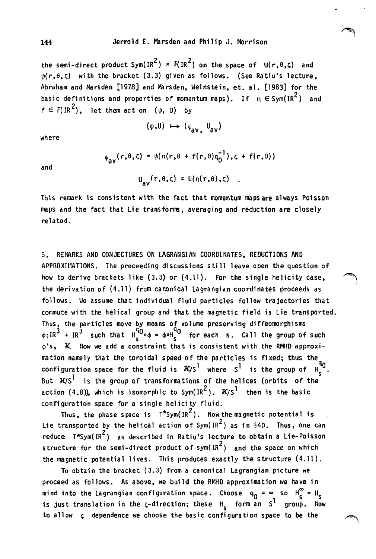the semi-direct product  $Sym(IR^2) \times F(IR^2)$  on the space of  $U(r,\theta,\zeta)$  and  $\psi(r,\theta,\zeta)$  with the bracket (3.3) given as follows. (See Ratiu's lecture, Abraham and Marsden [1978] and Marsden, Weinstein, et. al. [1983] for the basic definitions and properties of momentum maps). If  $n \in Sym(IR^2)$  and  $f \in F(\text{IR}^2)$ , let them act on ( $\psi$ , U) by

$$
(\psi, U) \; \mapsto \; (\psi_{\text{av}}, \; U_{\text{av}})
$$

where

and

 $\psi_{av}(r,\theta,\zeta) = \psi(n(r,\theta + f(r,\theta)q_0^{-1}),\zeta + f(r,\theta))$ 

$$
U_{av}(r,\theta,\zeta) = U(n(r,\theta),\zeta)
$$

This remark is consistent with the fact that momentum maps are always Poisson maps and the fact that Lie transforms, averaging and reduction are closely related.

5. REMARKS AND CONJECTURES ON LAGRANGIAN COORDINATES, REDUCTIONS AND APPROXIMATIONS. The preceeding discussions still leave open the question of how to derive brackets like  $(3.3)$  or  $(4.11)$ . For the single helicity case, the derivation of (4.11) from canonical Lagrangian coordinates proceeds as follows. We assume that individual fluid particles follow trajectories that commute with the helical group and that the magnetic field is Lie transported. Thus, the particles move by means of volume preserving diffeomorphisms  $\phi:IR^{3} \rightarrow IR^{3}$  such that  $H_{S}^{\tilde{Q}} \circ \phi = \phi \circ H_{S}^{\tilde{Q}}$  for each s. Call the group of such  $\phi$ 's,  $K$  Now we add a constraint that is consistent with the RMHD approximation namely that the toroidal speed of the particles is fixed; thus the mation namely that the toroidal speed of the particles is fixed; thus the  $\frac{q_0}{q_0}$ configuration space for the fluid is  $K/s^1$  where  $s^1$  is the group of  $H_s^{q_0}$ But  $J(S^1)$  is the group of transformations of the helices (orbits of the action (4.8)), which is isomorphic to Sym(IR<sup>2</sup>).  $\mathcal{H}/S^1$  then is the basic configuration space for a single helicity fluid.

Thus, the phase space is  $T*Sym(\text{IR}^2)$ . Now the magnetic potential is Lie transported by the helical action of  $Sym(\text{IR}^2)$  as in §40. Thus, one can reduce  $T*Sym(IR^2)$  as described in Ratiu's lecture to obtain a Lie-Poisson structure for the semi-direct product of sym( $IR<sup>2</sup>$ ) and the space on which the magnetic potential lives. This produces exactly the structure (4.11).

To obtain the bracket (3.3) from a canonical Lagrangian picture we proceed as follows. As above. we build the RMHD approximation we have in mind into the Lagrangian configuration space. Choose  $q_0 = \infty$  so  $H_e^{\infty} = H_e$ is just translation in the  $\zeta$ -direction; these  $H_{\epsilon}$  form an S<sup>l</sup> group. Now to allow  $\zeta$  dependence we choose the basic configuration space to be the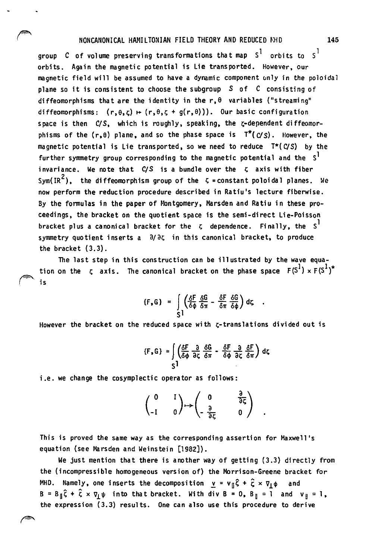# NONCANONICAL HAMILTONIAN FIELD THEORY AND REDUCED NHD 145

group C of volume preserving transformations that map  $S^1$  orbits to  $S^1$ orbits. Again the magnetic potential is Lie transported. However, our magnetic field will be assumed to have a dynamic component only in the poloidal plane so it is consistent to choose the subgroup *S* of C consisting of diffeomorphisms that are the identity in the  $r, \theta$  variables ("streaming" diffeomorphisms:  $(r, \theta, z) \mapsto (r, \theta, z + g(r, \theta))$ . Our basic configuration space is then *CIS*, which is roughly, speaking, the *r*-dependent diffeomorphisms of the  $(r, \theta)$  plane, and so the phase space is  $T^*(C/S)$ . However, the magnetic potential is Lie transported, so we need to reduce  $T^*(C/S)$  by the further symmetry group corresponding to the magnetic potential and the  $s<sup>1</sup>$ invariance. We note that  $C/S$  is a bundle over the  $\zeta$  axis with fiber Sym(IR<sup>2</sup>). the diffeomorphism group of the  $\zeta$  = constant poloidal planes. We now perform the reduction procedure described in Ratiu's lecture fiberwise. By the fonnulas in the paper of 140ntgomery. Marsden and Ratiu in these proceedings. the bracket on the quotient space is the semi-direct Lie-Poisson bracket plus a canonical bracket for the  $\zeta$  dependence. Finally, the  $S<sup>1</sup>$ symmetry quotient inserts  $a = \partial/\partial \zeta$  in this canonical bracket, to produce the bracket (3.3).

The last step in this construction can be illustrated by the wave equation on the  $\zeta$  axis. The canonical bracket on the phase space  $F(S^1) \times F(S^1)^*$ (\*' is

$$
\{F,G\} = \int_{S^1} \left(\frac{\delta F}{\delta \phi} \frac{\delta G}{\delta \pi} - \frac{\delta F}{\delta \pi} \frac{\delta G}{\delta \phi}\right) dz.
$$

However the bracket on the reduced space with  $\zeta$ -translations divided out is

$$
\{F, G\} = \int \left(\frac{\delta F}{\delta \phi} \frac{\partial}{\partial \zeta} \frac{\delta G}{\delta \pi} - \frac{\delta F}{\delta \phi} \frac{\partial}{\partial \zeta} \frac{\delta F}{\delta \pi}\right) d\zeta
$$

i.e. we change the cosymplectic operator as follows:

$$
\begin{pmatrix} 0 & 1 \\ 0 & 0 \end{pmatrix} \mapsto \begin{pmatrix} 0 & \frac{1}{3} \\ -\frac{3}{3} & 0 \end{pmatrix}
$$

This is proved the same way as the corresponding assertion for Maxwell's equation (see Marsden and Weinstein [1982]).

We just mention that there is another way of getting (3.3) directly from the (incompressi ble homogeneous version of) the Morrison-Greene bracket for MHD. Namely, one inserts the decomposition  $y = v_{\parallel} \hat{\zeta} + \hat{\zeta} \times \nabla_{\perp} \phi$  and  $B = B_{\parallel} \hat{\zeta} + \hat{\zeta} \times \nabla_{\parallel} \psi$  into that bracket. With div  $B = 0$ ,  $B_{\parallel} = 1$  and  $v_{\parallel} = 1$ , the expression (3.3) results. One can also use this procedure to derive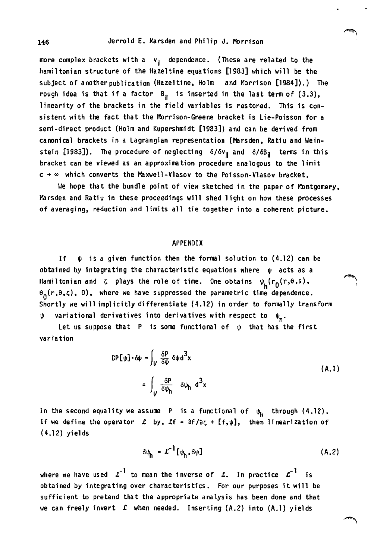more complex brackets with a  $v_{\text{N}}$  dependence. (These are related to the hamiltonian structure of the Hazeltine equations [1983] which will be the subject of another publication (Hazeltine, Holm and Morrison [1984]).) The rough idea is that if a factor  $B_n$  is inserted in the last term of  $(3.3)$ , linearity of the brackets in the field variables is restored. This is consistent with the fact that the Morrison-Greene bracket is Lie-Poisson for a semi-direct product (Holm and Kupershmidt [1983]) and can be derived from canonical brackets in a Lagrangian representation (Marsden, Ratiu and Weinstein [1983]). The procedure of neglecting  $\delta/\delta v_{\parallel}$  and  $\delta/\delta B_{\parallel}$  terms in this bracket can be viewed as an approximation procedure analogous to the limit  $c \rightarrow \infty$  which converts the Maxwell-Vlasov to the Poisson-Vlasov bracket.

We hope that the bundle point of view sketched in the paper of Montgomery, Marsden and Ratiu in these proceedings will shed 1 ight on how these processes of averaging, reduction and limits all tie together into a coherent picture.

#### APPENDIX

If  $\psi$  is a given function then the formal solution to (4.12) can be obtained by integrating the characteristic equations where  $\psi$  acts as a Hamiltonian and  $\zeta$  plays the role of time. Cne obtains  $\psi_{\mathbf{h}}(r_0(r,\theta,s),$  $\theta_{\alpha}(r,\theta,\zeta)$ , 0), where we have suppressed the parametric time dependence. Shortly we will implicitly differentiate (4.12) in order to formally transform variational derivatives into derivatives with respect to  $\psi_n$ .

Let us suppose that P is some functional of  $\psi$  that has the first variation

$$
CP[\psi] \cdot \delta \psi = \int_{V} \frac{\delta P}{\delta \psi} \delta \psi d^{3}x
$$
  
= 
$$
\int_{V} \frac{\delta P}{\delta \psi_{h}} \delta \psi_{h} d^{3}x
$$
 (A.1)

In the second equality we assume P is a functional of  $\psi_{h}$  through (4.12). If we define the operator  $\mathcal{L}$  by,  $\mathcal{L}f = \frac{\partial f}{\partial \zeta} + [f,\psi]$ , then linearization of (4.12) yields

$$
\delta \psi_h = \mathcal{L}^{-1} [\psi_h, \delta \psi] \tag{A.2}
$$

where we have used  $\boldsymbol{\mathcal{L}}^{-1}$  to mean the inverse of  $\boldsymbol{\mathcal{L}}$ . In practice  $\boldsymbol{\mathcal{L}}^{-1}$  is obtained by integrating over characteristics. For our purposes it will be sufficient to pretend that the appropriate analysis has been done and that we can freely invert £ when needed. Inserting (A.2) into (A.1) yields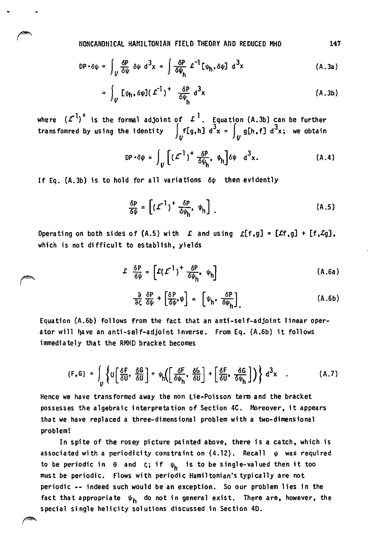NONCANONICAL HAMILTONIAN FIELD THEORY AriD REDUCED MHO 147

$$
DP \cdot \delta \psi = \int_{V} \frac{\delta P}{\delta \psi} \delta \psi d^{3}x = \int \frac{\delta P}{\delta \psi_{h}} L^{-1} [\psi_{h}, \delta \psi] d^{3}x \qquad (A.3a)
$$

$$
= \int_{V} \left[ \psi_{\mathsf{h}}, \delta \psi \right] \left( \mathcal{L}^{-1} \right)^{+} \frac{\delta P}{\delta \psi_{\mathsf{h}}} d^{3}x \tag{A.3b}
$$

where  $(\mathcal{L}^1)^\top$  is the formal adjoint of  $\mathcal{L}^1$ . Equation (A.3b) can be further transfomred by using the identity  $\int_{\mathbb{R}} f[g,h] d^3x = \int_{\mathbb{R}} g[h,f] d^3x$ ; we obtain

$$
DP \cdot \delta \psi = \int_{U} \left[ \left( \mathcal{L}^{-1} \right)^{+} \frac{\delta P}{\delta \psi_{h}}, \psi_{h} \right] \delta \psi \ d^{3}x. \tag{A.4}
$$

If Eq. (A.3b) is to hold for all variations  $6\psi$  then evidently

$$
\frac{\delta P}{\delta \psi} = \left[ \left( \mathcal{L}^{-1} \right)^+ \frac{\delta P}{\delta \psi_h}, \psi_h \right] \tag{A.5}
$$

Operating on both sides of (A.5) with  $\mathcal L$  and using  $\mathcal L[f,g] = [\mathcal L f,g] + [f,\mathcal L g]$ , which is not difficult to establish, yields

$$
\mathcal{L} \frac{\delta P}{\delta \psi} = \left[ \mathcal{L} (\mathcal{L}^{-1})^+ \frac{\delta P}{\delta \psi_h}, \psi_h \right]
$$
 (A.6a)

$$
\frac{\partial}{\partial \zeta} \frac{\delta P}{\delta \psi} + \left[ \frac{\delta P}{\delta \psi}, \psi \right] = \left[ \psi_h, \frac{\delta P}{\delta \psi_h} \right] \tag{A.6b}
$$

Equation (A.6b) follows from the fact that an anti-self-adjoint linear operator will have an anti-self-adjoint inverse. From Eq. (A.6b) it follows immediately that the RMHD bracket becomes

$$
\{F, G\} = \int_{V} \left\{ U \left[ \frac{\delta F}{\delta U}, \frac{\delta G}{\delta U} \right] + \psi_{h} \left( \left[ \frac{\delta F}{\delta \psi_{h}}, \frac{\delta G}{\delta U} \right] + \left[ \frac{\delta F}{\delta U}, \frac{\delta G}{\delta \psi_{h}} \right] \right) \right\} d^{3}x \quad . \tag{A.7}
$$

Hence we have transformed away the non Lie-Poisson term and the bracket possesses the algebraic interpretation of Section 4C. Moreover, it appears that we have replaced a three-dimensional problem with a two-dimensional problem!

In spite of the rosey picture painted above, there is a catch, which is associated with a periodicity constraint on  $(4.12)$ . Recall  $\psi$  was required to be periodic in  $\theta$  and  $\zeta$ ; if  $\psi$ <sub>h</sub> is to be single-valued then it too must be periodic. Flows with periodic Hamiltonian's typically are not periodic -- indeed such would be an exception. So our problem lies in the fact that appropriate  $\psi_h$  do not in general exist. There are, however, the special single helicity solutions discussed in Section 40.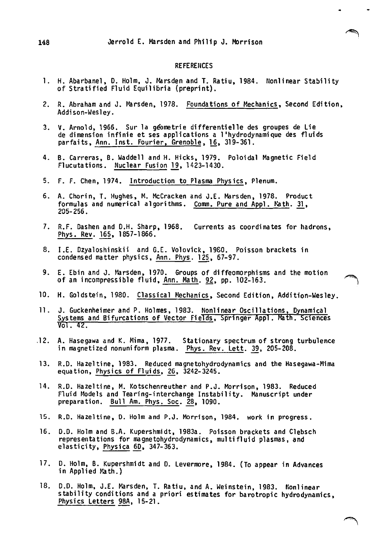### REFERENCES

فللمستنسر

- 1. H. Abarbanel, D. Holm, J. Marsden and T. Ratiu, 1984. Nonlinear Stability of Stratified Fluid Equilibria (preprint).
- 2. R. Abraham and J. Marsden, 1978. Foundations of Mechanics, Second Edition, Addison-Wesley.
- 3. V. Arnold, 1966. Sur la geometrie differentielle des groupes de Lie de dimension infinie et ses applications a l'hydrodynamique des fluids parfaits, Ann. Inst. Fourier, Grenoble, 16, 319-361.
- 4. B. Carreras, B. Waddell and H. Hicks, 1979. Poloidal Magnetic Field Flucutations. Nuclear Fusion 19, 1423-1430.
- 5. F. F. Chen, 1974. Introduction to Plasma PhYSics, Plenum.
- 6. A. Chorin, T. Hughes, M. McCracken and J.E. Marsden, 1978. Product formulas and numerical algorithms. Comm. Pure and Appl. Math. 31, *205-256.*
- 7. R.F. Dashen and D.H. Sharp, 1968. Currents as coordinates for hadrons, Phys. Rev. 165, 1857-1866.
- 8. I.E. Dzyaloshinskii and G.E. Volovick, 1980. Poisson brackets in condensed matter physics, Ann. Phys. 125, 67-97.
- 9. E. Ebin and J. Marsden, 1970. Groups of diffeomorphisms and the motion condensed matter physics, <u>Ann. Phys</u>. 1<u>29</u>, 67–97.<br>E. Ebin and J. Marsden, 1970. Groups of diffeomorphisms and the motion *incompressible fluid*, <u>Ann. Math</u>. <u>92,</u> pp. 102-163.
- 10. H. Goldstein, 1980. Classical Hechanics, Second Edition, Addition-Wesley.
- 11. J. Guckenheimer and P. Holmes, 1983. Nonlinear Oscillations, Dynamical Systems and Bifurcations of Vector Fields, Springer Appl. Math. Sciences vol. 42.
- .12. A. Hasegawa and K. Mima, 1977. Stationary spectrum of strong turbulence in magnetized nonuniform plasma. Phys. Rev. Lett. 39, 205-208.
- 13. R.D. Hazeltine, 1983. Reduced magnetohydrodynamics and the Hasegawa-Mirna equation, Physics of Flui ds, 26, 3242-3245.
- 14. R.D. Hazeltine, M. Kotschenreuther and P.J. Morrison, 1983. Reduced Fluid Models and Tearing-interchange Instability. Manuscript under preparation. Bull Am. Phys. Soc. 28, 1090.
- 15. R.D. HaZeltine, O. Holm and P.J. Morrison, 1984. work in progress.
- 16. D.O. Holm and B.A. Kupershmidt, 1983a. Poisson brackets and Clebsch representations for magnetohydrodynamics, multifluid plasmas, and elasticity, Physica 60, 347-363.
- 17. O. Holm, B. Kupershmidt and O. Levermore, 1984. (To appear in Advances in Applied Path.)
- 18. D.D. Holm, J.E. Marsden, T. Ratiu, and A. Weinstein, 1983. Nonlinear stability conditions and a priori estimates for barotropic hydrodynamics, PhySics Letters 98A, 15-21.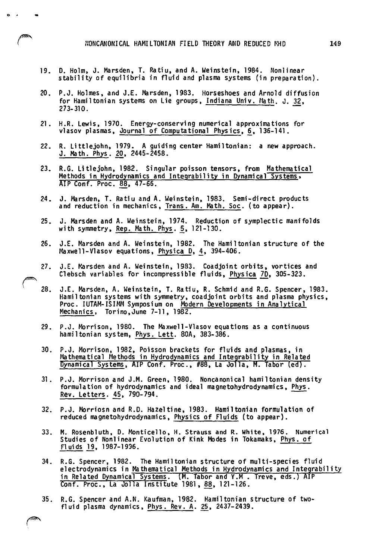- 19. D. Holm. J. Marsden. T. Ratiu. and A. Weinstein. 1984. Nonlinear stability of equilibria in fluid and plasma systems (in preparation).
- 20. P.J. Holmes, and J.E. Marsden, 1983. Horseshoes and Arnold diffusion for Hamiltonian systems on Lie groups, Indiana Univ. Math. J. 32, 273-310.
- 21. H.R. Lewis, 1970. Energy-conserving numerical approximations for vlasov plasmas, Journal of Computational Physics, 6, 136-141.
- 22. R. Littlejohn, 1979. A guiding center Hamiltonian: a new approach. J. Math. Phys. 20, 2445-2458.
- 23. R.G. Litlejohn. 1982. Sin9ular poisson tensors, from Mathematical Methods in Hydrodynamics and Integrability in Dynamical Systems. AlP Conf. Proc. 88, 47-66.
- 24. J. Marsden. T. Ratiu and A. Weinstein, 1983. Semi-direct products and reduction in mechanics. Trans. Am. Math. Soc. (to appear).
- 25. J. Marsden and A. Weinstein. 1974. Reduction of symplectic manifolds with symmetry, Rep. Math. Phys. 5, 121-130.
- 26. J.E. Marsden and A. Weinstein. 1982. The Hamiltonian structure of the Maxwell-Vlasov equations, Physica D, 4, 394-406.
- 27. J.E. Marsden and A. Weinstein, 1983. Coadjoint orbits, vortices and Clebsch variables for incompressible fluids. Physica 70, 305-323.

 $\subset$ 

- 28. J.E. Marsden, A. Weinstein, T. Ratiu, R. Schmid and R.G. Spencer, 1983. Hamiltonian systems with symmetry, coadjoint orbits and plasma physics, Proc. IUTAM-ISIMM Symposium on Modern Developments in Analytical Mechanics, Torino, June 7-11, 1982.
- 29. P.J. Morrison. 1980. The Maxwell-Vlasov equations as a continuous hamiltonian system. Phys. Lett. 80A. 383-386.
- 30. P.J. Morrison, 1982, Poisson brackets for fluids and plasmas, in ~''' Mathematical Methods in Hydrodynamics and Integrability in Related Dynamical Systems, AIP Conf. Proc., #88, La Jolla, M. Tabor (ed).
- 31. P.J. Morrison and J.M. Green. 1980. Noncanonical hamiltonian denSity r.J. Morrison and J.M. Green, 1960. Noncanonical namilionian dens<br>formulation of hydrodynamics and ideal magnetohydrodynamics, <u>Phys</u>.<br><u>Rev. Letters</u>. 45, 790-794.
- 32. P.J. Morriosn and R.D. Hazeltine. 1983. Hamiltonian formulation of reduced magnetohydrodynamics, Physics of Fluids (to appear).
- 33. M. Rosenbluth, D. Monticello, H. Strauss and R. White. 1976. Numerical Studies of Nonlinear Evolution of Kink Modes in Tokamaks, Phys. of Fluids 19, 1987-1996.
- 34. R.G. Spencer, 1982. The Hamiltonian structure of multi-species fluid electrodynamics in Ma thematical Methods in Hydrodynamics and lntegrabil i ty in Related Dynamical Systems. (M. Tabor and Y.M. Treve, eds.) AIP Conf. Proc., La Jolla Institute 1981, 88, 121-126.
- 35. R.G. Spencer and A.N. Kaufman, 1982. Hamiltonian structure of twofluid plasma dynamics. Phys. Rev. A. 25, 2437-2439.